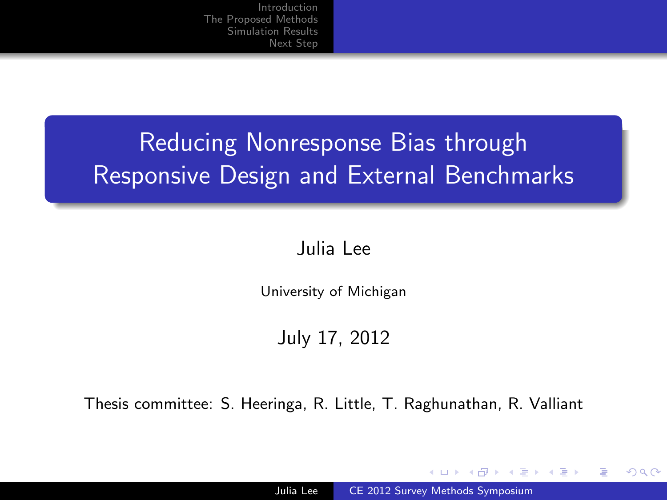# Reducing Nonresponse Bias through Responsive Design and External Benchmarks

#### Julia Lee

University of Michigan

July 17, 2012

Thesis committee: S. Heeringa, R. Little, T. Raghunathan, R. Valliant

4 17 18

<span id="page-0-0"></span>→ 何 ▶ → 手 ▶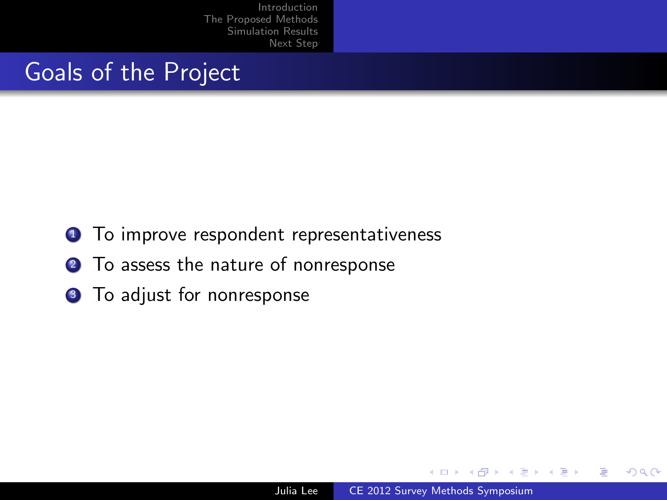#### Goals of the Project

- **1** To improve respondent representativeness
- <sup>2</sup> To assess the nature of nonresponse
- **3** To adjust for nonresponse

 $\sim$   $\sim$ 

 $\overline{AB}$ 

造

つくへ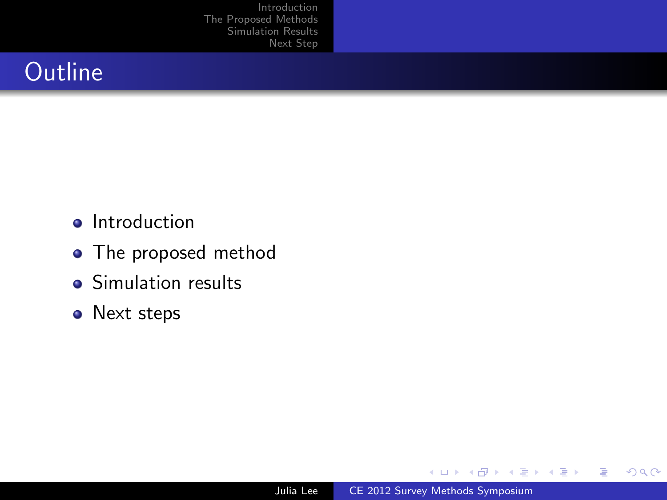# **Outline**

- **•** Introduction
- The proposed method
- Simulation results
- Next steps

4 0 8

→ 伊 ▶ → 手 ▶

Þ

э  $\,$   $299$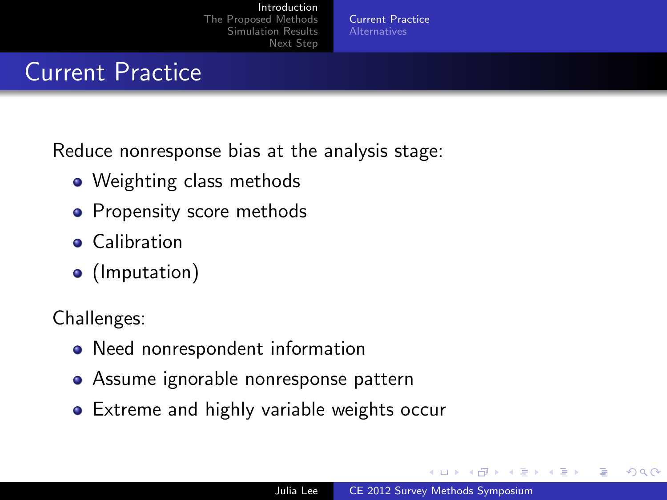Current [Practice](#page-3-0)

### Current Practice

Reduce nonresponse bias at the analysis stage:

- Weighting class methods
- Propensity score methods
- **•** Calibration
- (Imputation)

Challenges:

- Need nonrespondent information
- Assume ignorable nonresponse pattern
- **•** Extreme and highly variable weights occur

4 17 18

<span id="page-3-0"></span> $\overline{AB}$  $\rightarrow$   $\pm$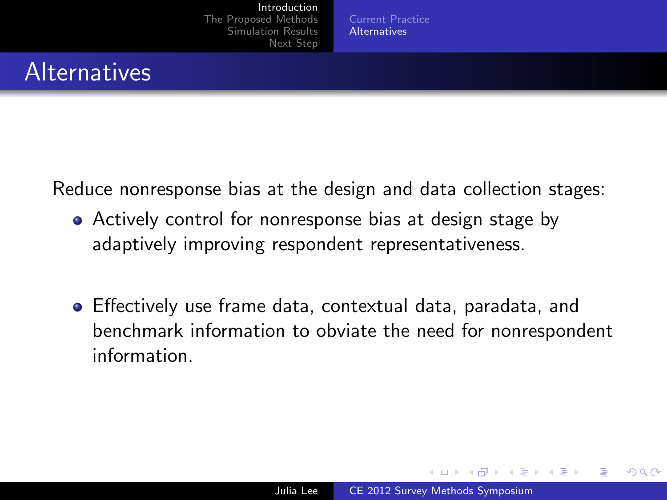Current [Practice](#page-3-0) [Alternatives](#page-4-0)

### **Alternatives**

Reduce nonresponse bias at the design and data collection stages:

- Actively control for nonresponse bias at design stage by adaptively improving respondent representativeness.
- Effectively use frame data, contextual data, paradata, and benchmark information to obviate the need for nonrespondent information.

<span id="page-4-0"></span> $\mathcal{A} \leftarrow \mathcal{A} \leftarrow \mathcal{A} \leftarrow \mathcal{A}$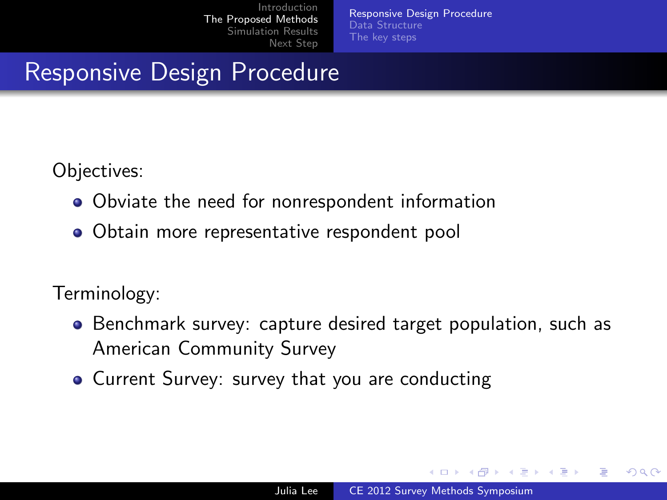[Responsive Design Procedure](#page-5-0) [Data Structure](#page-8-0) [The key steps](#page-9-0)

### Responsive Design Procedure

Objectives:

- Obviate the need for nonrespondent information
- Obtain more representative respondent pool

Terminology:

- Benchmark survey: capture desired target population, such as American Community Survey
- Current Survey: survey that you are conducting

4 17 18

<span id="page-5-0"></span>**Adviti**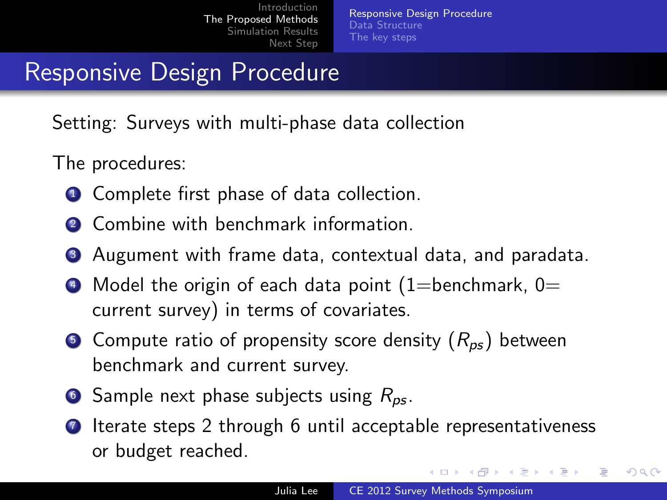[Responsive Design Procedure](#page-5-0) [Data Structure](#page-8-0) [The key steps](#page-9-0)

### Responsive Design Procedure

Setting: Surveys with multi-phase data collection

The procedures:

- **1** Complete first phase of data collection.
- 2 Combine with benchmark information
- <sup>3</sup> Augument with frame data, contextual data, and paradata.
- $\bullet$  Model the origin of each data point (1=benchmark, 0= current survey) in terms of covariates.
- **Compute ratio of propensity score density**  $(R_{ps})$  **between** benchmark and current survey.
- 6 Sample next phase subjects using  $R_{ps}$ .
- **1** Iterate steps 2 through 6 until acceptable representativeness or budget reached.

メロメ メ母メ メミメ メミメ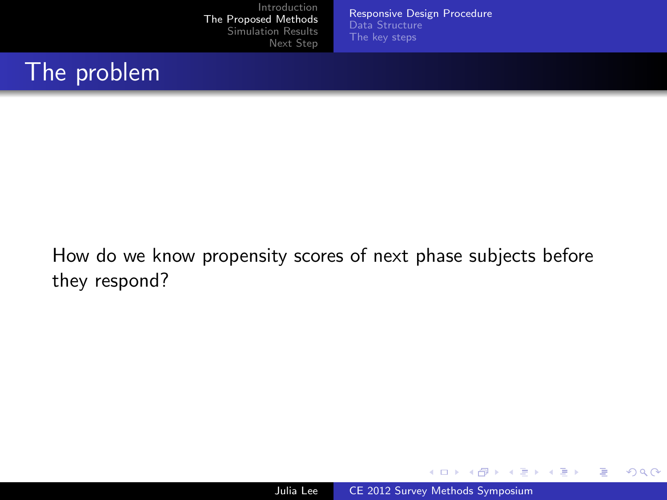[Responsive Design Procedure](#page-5-0) [Data Structure](#page-8-0) [The key steps](#page-9-0)

#### The problem

How do we know propensity scores of next phase subjects before they respond?

メロメ メ母メ メミメ メミメ

 $299$ 

э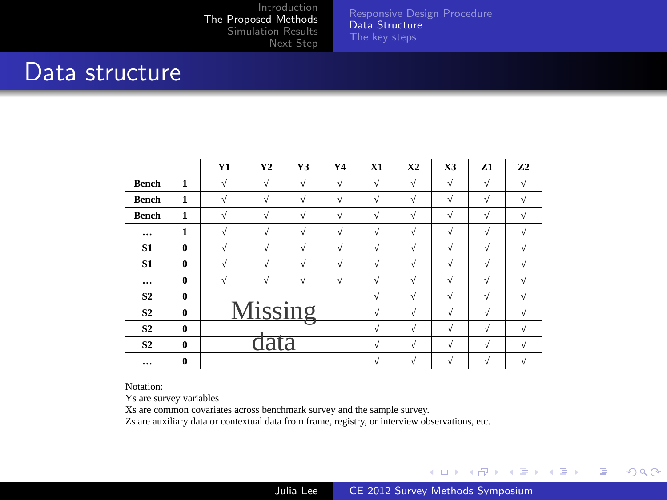[Responsive Design Procedure](#page-5-0) [Data Structure](#page-8-0) [The key steps](#page-9-0)

#### Data structure

|                |              | Y1         | Y <sub>2</sub> | Y3             | Y4         | X1         | <b>X2</b>  | X <sub>3</sub> | Z1         | Z <sub>2</sub> |
|----------------|--------------|------------|----------------|----------------|------------|------------|------------|----------------|------------|----------------|
| Bench          | $\mathbf{1}$ | $\sqrt{}$  | $\sqrt{ }$     | $\sqrt{}$      | $\sqrt{ }$ | $\sqrt{ }$ | $\sqrt{}$  | $\sqrt{}$      | $\sqrt{ }$ | $\sqrt{}$      |
| Bench          | $\mathbf{1}$ | N          | $\sqrt{ }$     | $\sqrt{ }$     | $\sqrt{}$  | ν          | V          | $\sqrt{}$      | ν          | v              |
| Bench          | $\mathbf{1}$ | $\sqrt{}$  | $\sqrt{}$      | $\sqrt{ }$     | $\sqrt{}$  | ν          | $\sqrt{ }$ | $\sqrt{}$      | ν          | $\sqrt{}$      |
| $\cdots$       | $\mathbf{1}$ | V          | ν              | $\sqrt{}$      | $\sqrt{}$  | ν          | $\sqrt{}$  | $\sqrt{ }$     | $\sqrt{ }$ | V              |
| S <sub>1</sub> | $\bf{0}$     | ν          | $\sqrt{2}$     | $\sqrt{ }$     | $\sqrt{ }$ | V          | $\sqrt{}$  | $\sqrt{ }$     | ν          | v              |
| S <sub>1</sub> | $\bf{0}$     | N          | ν              | V              | ν          | ν          | V          | ν              | ν          | $\sqrt{}$      |
| $\cdots$       | $\bf{0}$     | $\sqrt{ }$ | $\sqrt{ }$     | $\sqrt{ }$     | $\sqrt{ }$ | ν          | $\sqrt{}$  | $\sqrt{ }$     | $\sqrt{ }$ | $\sqrt{ }$     |
| S <sub>2</sub> | $\bf{0}$     |            |                |                |            | V          | V          | $\sqrt{}$      | ν          | v              |
| S <sub>2</sub> | $\bf{0}$     |            |                | <i>dissing</i> |            | ν          | $\sqrt{}$  | $\sqrt{ }$     | ν          | v              |
| S <sub>2</sub> | $\bf{0}$     |            |                |                |            | V          | $\sqrt{}$  | $\sqrt{ }$     | ν          | V              |
| S <sub>2</sub> | $\bf{0}$     |            | data           |                |            | ν          | V          | $\sqrt{ }$     | ν          | $\sqrt{ }$     |
|                | $\bf{0}$     |            |                |                |            | ν          | V          | $\sqrt{}$      | ν          | $\sqrt{}$      |

Notation:

Ys are survey variables

Xs are common covariates across benchmark survey and the sample survey.

Zs are auxiliary data or contextual data from frame, registry, or interview observations, etc.

イロメ イ何メ イヨメ イヨメー

 $299$ 

<span id="page-8-0"></span>э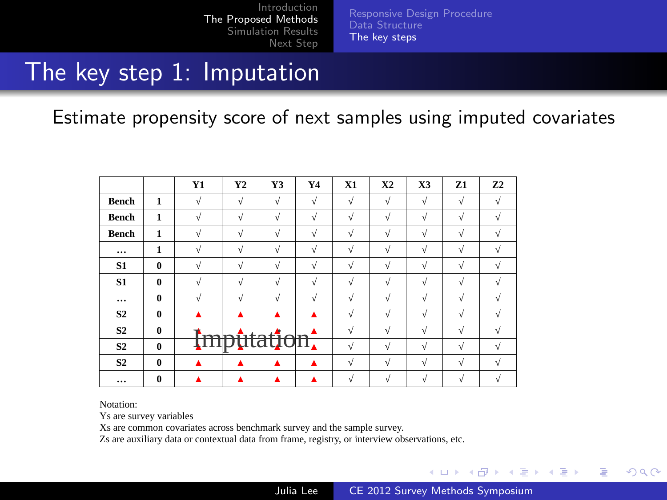[Responsive Design Procedure](#page-5-0) [Data Structure](#page-8-0) [The key steps](#page-9-0)

#### The key step 1: Imputation

Estimate propensity score of next samples using imputed covariates

|                |              | Y1         | Y2         | Y3         | Y4         | X1         | <b>X2</b>  | X3         | Z1         | Z <sub>2</sub> |
|----------------|--------------|------------|------------|------------|------------|------------|------------|------------|------------|----------------|
| Bench          | $\mathbf{1}$ | $\sqrt{ }$ | $\sqrt{ }$ | $\sqrt{ }$ | $\sqrt{}$  | $\sqrt{}$  | $\sqrt{ }$ | $\sqrt{ }$ | $\sqrt{}$  | $\sqrt{ }$     |
| Bench          | $\mathbf{1}$ | ν          | $\sqrt{ }$ | $\sqrt{ }$ | $\sqrt{}$  | $\sqrt{ }$ | $\sqrt{ }$ | $\sqrt{}$  | $\sqrt{ }$ | V              |
| Bench          | $\mathbf{1}$ | $\sqrt{}$  | $\sqrt{ }$ | $\sqrt{ }$ | $\sqrt{ }$ | ν          | $\sqrt{ }$ | $\sqrt{ }$ | $\sqrt{ }$ | $\sqrt{}$      |
| $\cdots$       | $\mathbf{1}$ | ν          | $\sqrt{}$  | $\sqrt{ }$ | $\sqrt{ }$ | ν          | $\sqrt{ }$ | $\sqrt{ }$ | ν          | V              |
| S1             | $\bf{0}$     | ν          | $\sqrt{}$  | $\sqrt{ }$ | $\sqrt{ }$ | $\sqrt{ }$ | $\sqrt{}$  | $\sqrt{ }$ | $\sqrt{ }$ | V              |
| S <sub>1</sub> | $\bf{0}$     | $\sqrt{}$  | $\sqrt{}$  | $\sqrt{ }$ | $\sqrt{}$  | $\sqrt{ }$ | $\sqrt{}$  | $\sqrt{}$  | ν          | $\sqrt{}$      |
| $\cdots$       | $\bf{0}$     | $\sqrt{}$  | V          | $\sqrt{ }$ | $\sqrt{}$  | $\sqrt{ }$ | $\sqrt{}$  | $\sqrt{}$  | $\sqrt{ }$ | $\sqrt{}$      |
| S <sub>2</sub> | $\bf{0}$     |            |            | ▲          | ▲          | $\sqrt{ }$ | $\sqrt{}$  | $\sqrt{ }$ | $\sqrt{ }$ | V              |
| S <sub>2</sub> | $\bf{0}$     | $\sim$     | $min+$     |            |            | ν          | $\sqrt{}$  | $\sqrt{ }$ | $\sqrt{ }$ | V              |
| S <sub>2</sub> | $\bf{0}$     |            |            | aų         | on,        | $\sqrt{ }$ | $\sqrt{ }$ | $\sqrt{ }$ | $\sqrt{ }$ | $\sqrt{}$      |
| S <sub>2</sub> | $\bf{0}$     | ٨          |            | ٨          | ▲          | $\sqrt{ }$ | $\sqrt{}$  | $\sqrt{ }$ | $\sqrt{ }$ | $\sqrt{ }$     |
| $\cdots$       | $\bf{0}$     |            |            | ▲          | ▲          | $\sqrt{ }$ | $\sqrt{ }$ | $\sqrt{ }$ | ν          | V              |

Notation:

Ys are survey variables

Xs are common covariates across benchmark survey and the sample survey.

Zs are auxiliary data or contextual data from frame, registry, or interview observations, etc.

**∢ロ ▶ ∢伺 ▶ ∢∃ ▶** 

重

<span id="page-9-0"></span> $\Omega$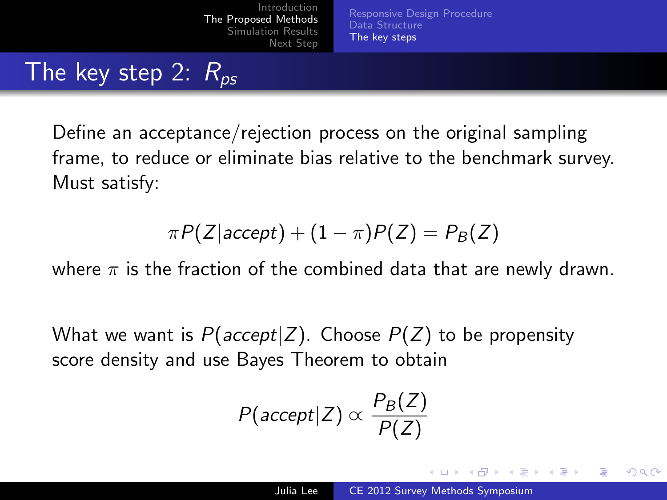[Introduction](#page-3-0) [The Proposed Methods](#page-5-0)<br>Simulation Results stion Results [Next Step](#page-18-0)

[Responsive Design Procedure](#page-5-0) [Data Structure](#page-8-0) [The key steps](#page-9-0)

### The key step 2:  $R_{ps}$

Define an acceptance/rejection process on the original sampling frame, to reduce or eliminate bias relative to the benchmark survey. Must satisfy:

$$
\pi P(Z|accept) + (1 - \pi)P(Z) = P_B(Z)
$$

where  $\pi$  is the fraction of the combined data that are newly drawn.

What we want is  $P(accept|Z)$ . Choose  $P(Z)$  to be propensity score density and use Bayes Theorem to obtain

$$
P(\mathit{accept}|Z) \propto \frac{P_B(Z)}{P(Z)}
$$

**Adviti**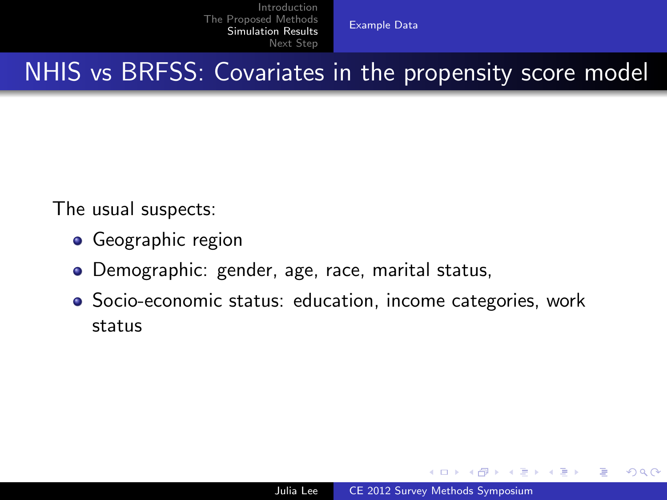<span id="page-11-0"></span>[Example](#page-11-0) Data

NHIS vs BRFSS: Covariates in the propensity score model

The usual suspects:

- **•** Geographic region
- Demographic: gender, age, race, marital status,
- Socio-economic status: education, income categories, work status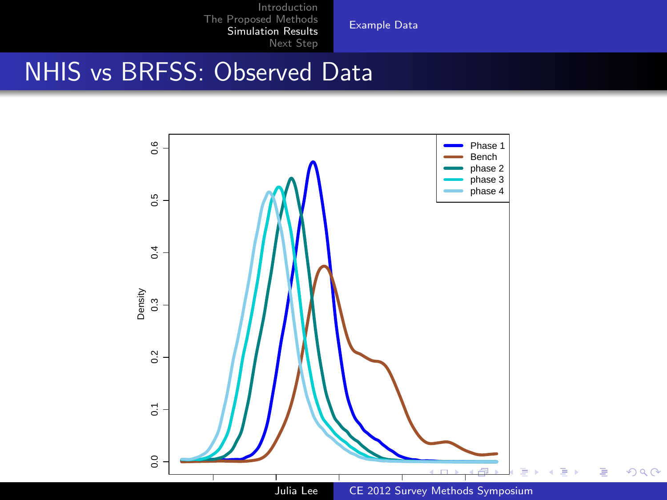[Example](#page-11-0) Data

# NHIS vs BRFSS: Observed Data

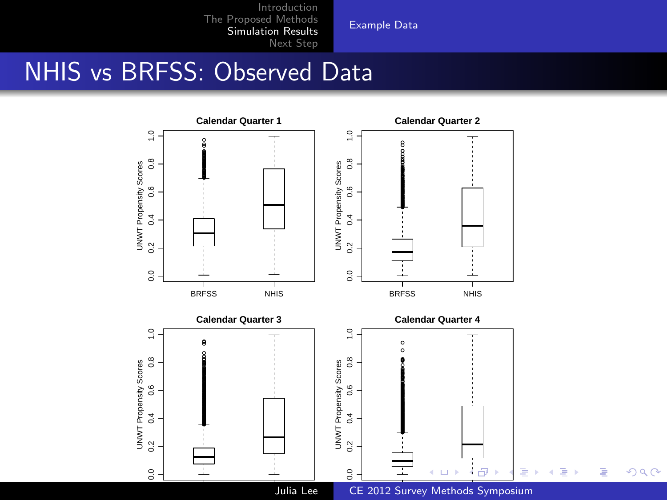[Example](#page-11-0) Data

# NHIS vs BRFSS: Observed Data

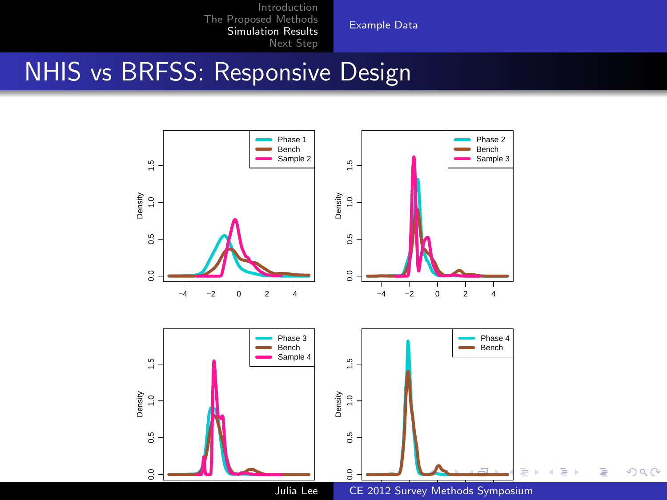[Example](#page-11-0) Data

### NHIS vs BRFSS: Responsive Design

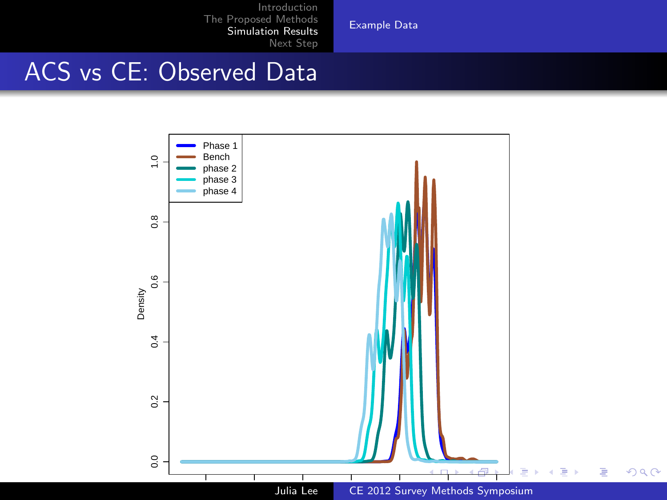[Example](#page-11-0) Data

# ACS vs CE: Observed Data

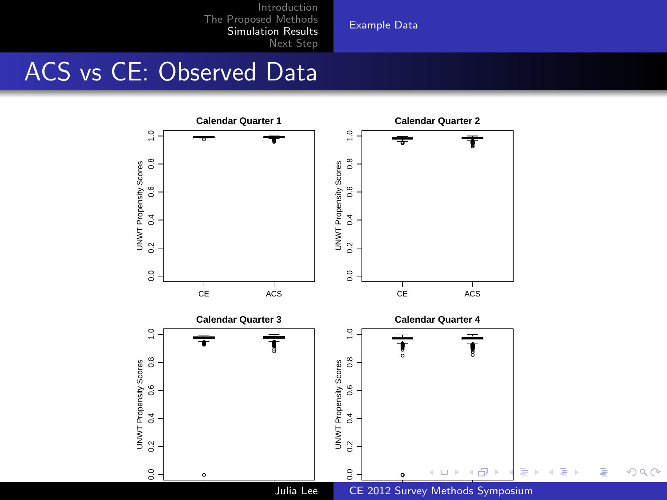[Example](#page-11-0) Data

# ACS vs CE: Observed Data

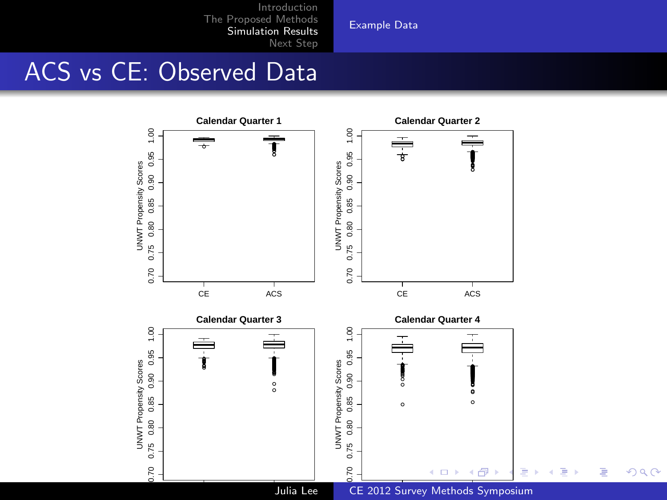[Example](#page-11-0) Data

# ACS vs CE: Observed Data

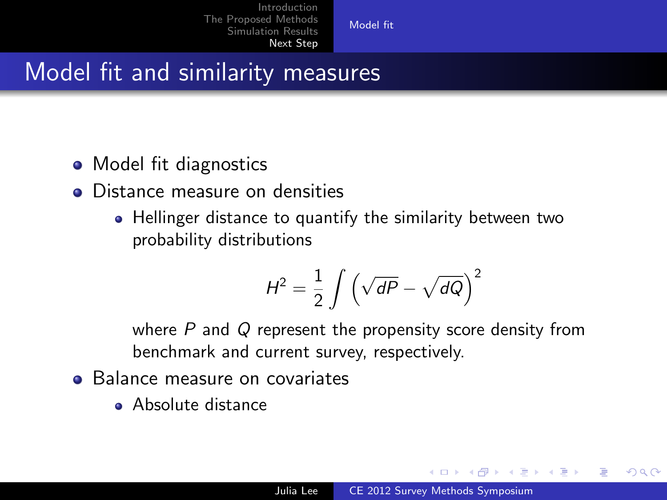[Model fit](#page-18-0)

### Model fit and similarity measures

- Model fit diagnostics
- Distance measure on densities
	- Hellinger distance to quantify the similarity between two probability distributions

$$
H^2 = \frac{1}{2} \int \left(\sqrt{dP} - \sqrt{dQ}\right)^2
$$

where  $P$  and  $Q$  represent the propensity score density from benchmark and current survey, respectively.

- **•** Balance measure on covariates
	- **Absolute distance**

<span id="page-18-0"></span> $\mathcal{A} \leftarrow \mathcal{A} \leftarrow \mathcal{A} \leftarrow \mathcal{A}$